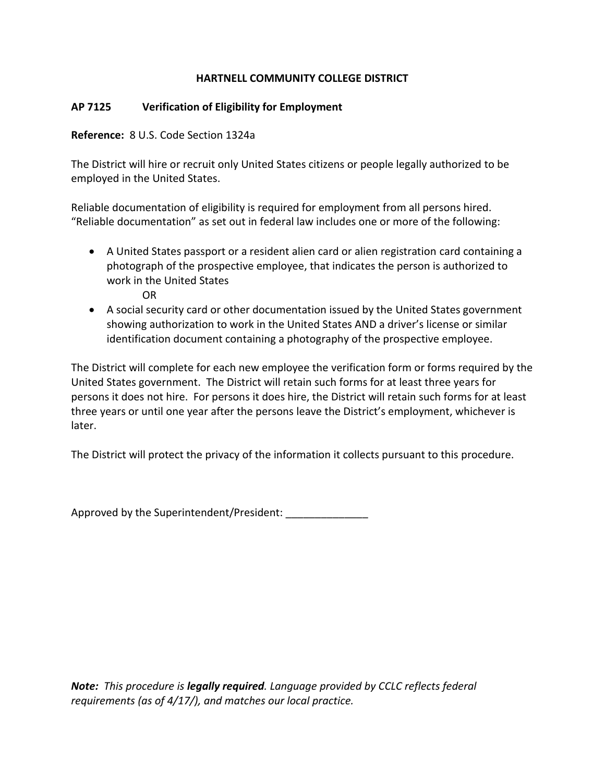## **HARTNELL COMMUNITY COLLEGE DISTRICT**

## **AP 7125 Verification of Eligibility for Employment**

**Reference:** 8 U.S. Code Section 1324a

The District will hire or recruit only United States citizens or people legally authorized to be employed in the United States.

Reliable documentation of eligibility is required for employment from all persons hired. "Reliable documentation" as set out in federal law includes one or more of the following:

 A United States passport or a resident alien card or alien registration card containing a photograph of the prospective employee, that indicates the person is authorized to work in the United States

OR

 A social security card or other documentation issued by the United States government showing authorization to work in the United States AND a driver's license or similar identification document containing a photography of the prospective employee.

The District will complete for each new employee the verification form or forms required by the United States government. The District will retain such forms for at least three years for persons it does not hire. For persons it does hire, the District will retain such forms for at least three years or until one year after the persons leave the District's employment, whichever is later.

The District will protect the privacy of the information it collects pursuant to this procedure.

Approved by the Superintendent/President:

*Note: This procedure is legally required. Language provided by CCLC reflects federal requirements (as of 4/17/), and matches our local practice.*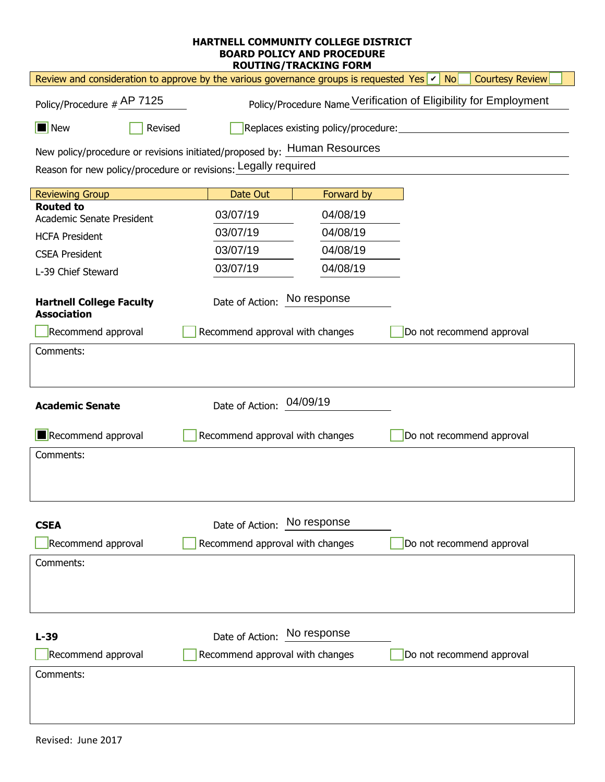## **HARTNELL COMMUNITY COLLEGE DISTRICT BOARD POLICY AND PROCEDURE ROUTING/TRACKING FORM**

| Review and consideration to approve by the various governance groups is requested Yes $ v $ No<br><b>Courtesy Review</b> |                                                                  |                           |  |  |
|--------------------------------------------------------------------------------------------------------------------------|------------------------------------------------------------------|---------------------------|--|--|
| Policy/Procedure # AP 7125                                                                                               | Policy/Procedure Name Verification of Eligibility for Employment |                           |  |  |
| $\Box$ New<br>Revised                                                                                                    | Replaces existing policy/procedure:                              |                           |  |  |
| New policy/procedure or revisions initiated/proposed by: Human Resources                                                 |                                                                  |                           |  |  |
| Reason for new policy/procedure or revisions: Legally required                                                           |                                                                  |                           |  |  |
| <b>Reviewing Group</b>                                                                                                   | Date Out<br>Forward by                                           |                           |  |  |
| <b>Routed to</b><br>Academic Senate President                                                                            | 03/07/19<br>04/08/19                                             |                           |  |  |
| <b>HCFA President</b>                                                                                                    | 03/07/19<br>04/08/19                                             |                           |  |  |
| <b>CSEA President</b>                                                                                                    | 03/07/19<br>04/08/19                                             |                           |  |  |
| L-39 Chief Steward                                                                                                       | 03/07/19<br>04/08/19                                             |                           |  |  |
| Date of Action: No response<br><b>Hartnell College Faculty</b><br><b>Association</b>                                     |                                                                  |                           |  |  |
| Recommend approval                                                                                                       | Recommend approval with changes                                  | Do not recommend approval |  |  |
| Comments:                                                                                                                |                                                                  |                           |  |  |
| 04/09/19<br>Date of Action:<br><b>Academic Senate</b>                                                                    |                                                                  |                           |  |  |
| Recommend approval                                                                                                       | Recommend approval with changes                                  | Do not recommend approval |  |  |
| Comments:                                                                                                                |                                                                  |                           |  |  |
| <b>CSEA</b>                                                                                                              | No response<br>Date of Action:                                   |                           |  |  |
| Recommend approval                                                                                                       | Recommend approval with changes                                  | Do not recommend approval |  |  |
| Comments:                                                                                                                |                                                                  |                           |  |  |
| $L-39$                                                                                                                   | No response<br>Date of Action:                                   |                           |  |  |
| Recommend approval                                                                                                       | Recommend approval with changes                                  | Do not recommend approval |  |  |
| Comments:                                                                                                                |                                                                  |                           |  |  |